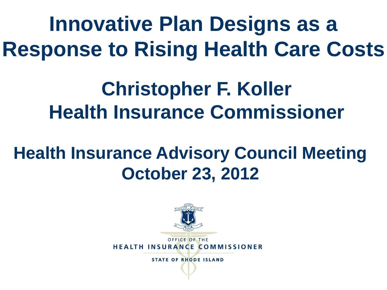**Innovative Plan Designs as a Response to Rising Health Care Costs**

#### **Christopher F. Koller Health Insurance Commissioner**

#### **Health Insurance Advisory Council Meeting October 23, 2012**

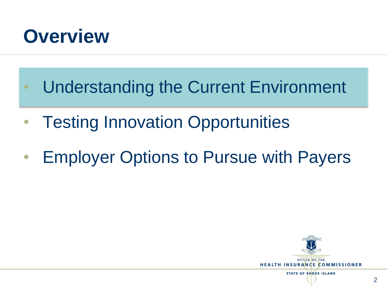

- Understanding the Current Environment
- **Testing Innovation Opportunities**
- Employer Options to Pursue with Payers

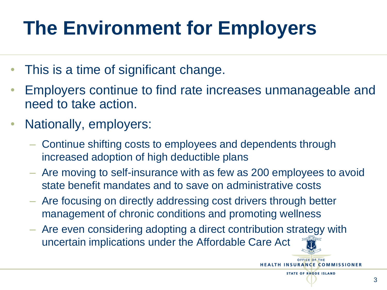# **The Environment for Employers**

- This is a time of significant change.
- Employers continue to find rate increases unmanageable and need to take action.
- Nationally, employers:
	- Continue shifting costs to employees and dependents through increased adoption of high deductible plans
	- Are moving to self-insurance with as few as 200 employees to avoid state benefit mandates and to save on administrative costs
	- Are focusing on directly addressing cost drivers through better management of chronic conditions and promoting wellness
	- Are even considering adopting a direct contribution strategy with uncertain implications under the Affordable Care Act

3

OFFICE OF THE **HEALTH INSURANCE COMMISSIONER STATE OF RHODE ISLAND**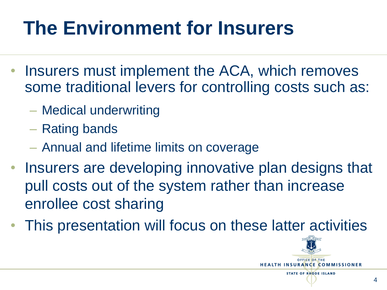## **The Environment for Insurers**

- Insurers must implement the ACA, which removes some traditional levers for controlling costs such as:
	- Medical underwriting
	- Rating bands
	- Annual and lifetime limits on coverage
- Insurers are developing innovative plan designs that pull costs out of the system rather than increase enrollee cost sharing
- This presentation will focus on these latter activities

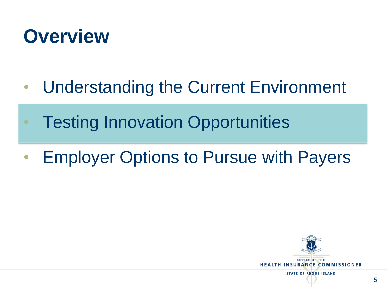

- Understanding the Current Environment
- Testing Innovation Opportunities
- Employer Options to Pursue with Payers

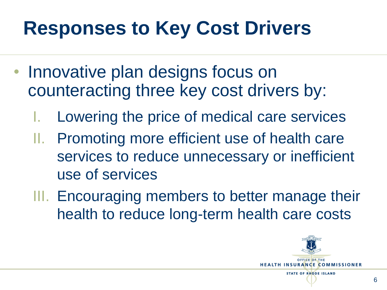## **Responses to Key Cost Drivers**

- Innovative plan designs focus on counteracting three key cost drivers by:
	- Lowering the price of medical care services
	- II. Promoting more efficient use of health care services to reduce unnecessary or inefficient use of services
	- III. Encouraging members to better manage their health to reduce long-term health care costs

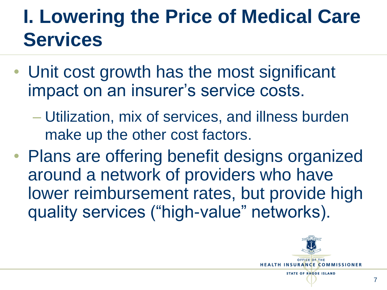#### **I. Lowering the Price of Medical Care Services**

- Unit cost growth has the most significant impact on an insurer's service costs.
	- Utilization, mix of services, and illness burden make up the other cost factors.
- Plans are offering benefit designs organized around a network of providers who have lower reimbursement rates, but provide high quality services ("high-value" networks).

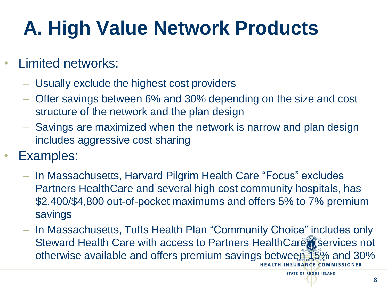# **A. High Value Network Products**

- Limited networks:
	- Usually exclude the highest cost providers
	- Offer savings between 6% and 30% depending on the size and cost structure of the network and the plan design
	- Savings are maximized when the network is narrow and plan design includes aggressive cost sharing
- Examples:
	- In Massachusetts, Harvard Pilgrim Health Care "Focus" excludes Partners HealthCare and several high cost community hospitals, has \$2,400/\$4,800 out-of-pocket maximums and offers 5% to 7% premium savings
	- In Massachusetts, Tufts Health Plan "Community Choice" includes only Steward Health Care with access to Partners HealthCare is services not otherwise available and offers premium savings between 15% and 30%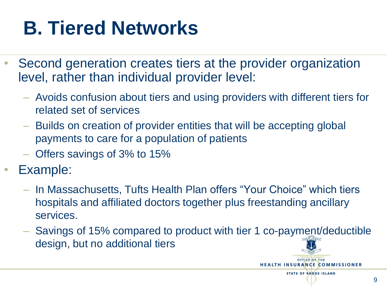## **B. Tiered Networks**

- Second generation creates tiers at the provider organization level, rather than individual provider level:
	- Avoids confusion about tiers and using providers with different tiers for related set of services
	- Builds on creation of provider entities that will be accepting global payments to care for a population of patients
	- Offers savings of 3% to 15%
- Example:
	- In Massachusetts, Tufts Health Plan offers "Your Choice" which tiers hospitals and affiliated doctors together plus freestanding ancillary services.
	- Savings of 15% compared to product with tier 1 co-payment/deductible design, but no additional tiers

**HEALTH INSURANCE COMMISSIONER STATE OF RHODE ISLAND**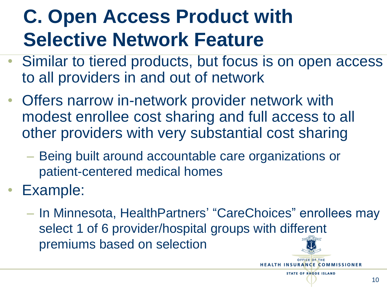## **C. Open Access Product with Selective Network Feature**

- Similar to tiered products, but focus is on open access to all providers in and out of network
- Offers narrow in-network provider network with modest enrollee cost sharing and full access to all other providers with very substantial cost sharing
	- Being built around accountable care organizations or patient-centered medical homes
- Example:
	- In Minnesota, HealthPartners' "CareChoices" enrollees may select 1 of 6 provider/hospital groups with different premiums based on selection

**HEALTH INSURANCE COMMISSIONER STATE OF RHODE ISLAND**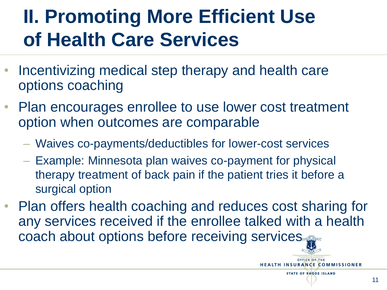#### **II. Promoting More Efficient Use of Health Care Services**

- Incentivizing medical step therapy and health care options coaching
- Plan encourages enrollee to use lower cost treatment option when outcomes are comparable
	- Waives co-payments/deductibles for lower-cost services
	- Example: Minnesota plan waives co-payment for physical therapy treatment of back pain if the patient tries it before a surgical option
- Plan offers health coaching and reduces cost sharing for any services received if the enrollee talked with a health coach about options before receiving services

**HEALTH INSURANCE COMMISSIONER STATE OF RHODE ISLAND**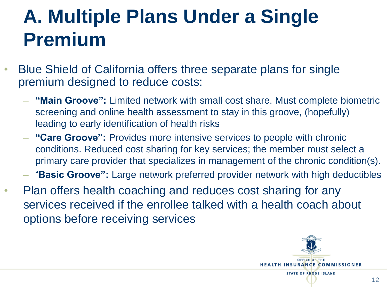#### **A. Multiple Plans Under a Single Premium**

- Blue Shield of California offers three separate plans for single premium designed to reduce costs:
	- **"Main Groove":** Limited network with small cost share. Must complete biometric screening and online health assessment to stay in this groove, (hopefully) leading to early identification of health risks
	- **"Care Groove":** Provides more intensive services to people with chronic conditions. Reduced cost sharing for key services; the member must select a primary care provider that specializes in management of the chronic condition(s).
	- "**Basic Groove":** Large network preferred provider network with high deductibles
- Plan offers health coaching and reduces cost sharing for any services received if the enrollee talked with a health coach about options before receiving services

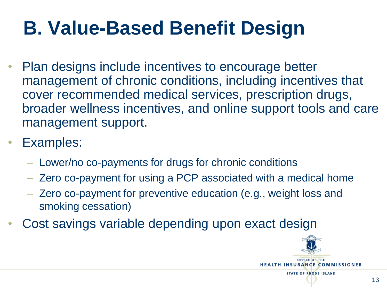## **B. Value-Based Benefit Design**

- Plan designs include incentives to encourage better management of chronic conditions, including incentives that cover recommended medical services, prescription drugs, broader wellness incentives, and online support tools and care management support.
- Examples:
	- Lower/no co-payments for drugs for chronic conditions
	- Zero co-payment for using a PCP associated with a medical home
	- Zero co-payment for preventive education (e.g., weight loss and smoking cessation)
- Cost savings variable depending upon exact design

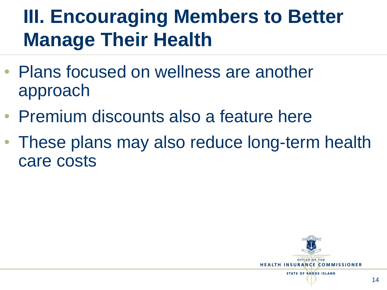#### **III. Encouraging Members to Better Manage Their Health**

- Plans focused on wellness are another approach
- Premium discounts also a feature here
- These plans may also reduce long-term health care costs

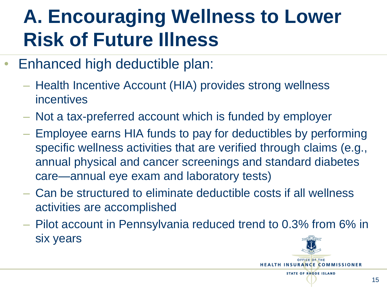#### **A. Encouraging Wellness to Lower Risk of Future Illness**

- Enhanced high deductible plan:
	- Health Incentive Account (HIA) provides strong wellness incentives
	- Not a tax-preferred account which is funded by employer
	- Employee earns HIA funds to pay for deductibles by performing specific wellness activities that are verified through claims (e.g., annual physical and cancer screenings and standard diabetes care—annual eye exam and laboratory tests)
	- Can be structured to eliminate deductible costs if all wellness activities are accomplished
	- Pilot account in Pennsylvania reduced trend to 0.3% from 6% in six years

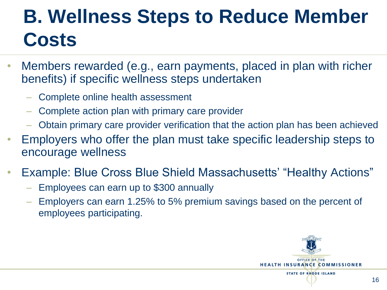## **B. Wellness Steps to Reduce Member Costs**

- Members rewarded (e.g., earn payments, placed in plan with richer benefits) if specific wellness steps undertaken
	- Complete online health assessment
	- Complete action plan with primary care provider
	- Obtain primary care provider verification that the action plan has been achieved
- Employers who offer the plan must take specific leadership steps to encourage wellness
- Example: Blue Cross Blue Shield Massachusetts' "Healthy Actions"
	- Employees can earn up to \$300 annually
	- Employers can earn 1.25% to 5% premium savings based on the percent of employees participating.

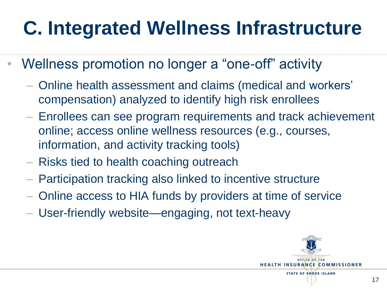## **C. Integrated Wellness Infrastructure**

- Wellness promotion no longer a "one-off" activity
	- Online health assessment and claims (medical and workers' compensation) analyzed to identify high risk enrollees
	- Enrollees can see program requirements and track achievement online; access online wellness resources (e.g., courses, information, and activity tracking tools)
	- Risks tied to health coaching outreach
	- Participation tracking also linked to incentive structure
	- Online access to HIA funds by providers at time of service
	- User-friendly website—engaging, not text-heavy

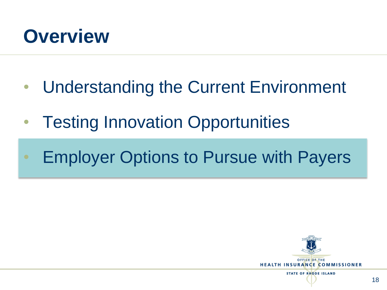

- Understanding the Current Environment
- Testing Innovation Opportunities
- Employer Options to Pursue with Payers

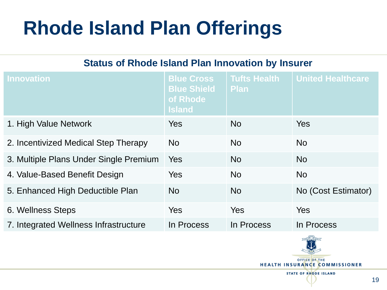## **Rhode Island Plan Offerings**

#### **Status of Rhode Island Plan Innovation by Insurer**

| <b>Innovation</b>                      | <b>Blue Cross</b><br><b>Blue Shield</b><br>of Rhode<br>Island | <b>Tufts Health</b><br><b>Plan</b> | <b>United Healthcare</b> |
|----------------------------------------|---------------------------------------------------------------|------------------------------------|--------------------------|
| 1. High Value Network                  | Yes                                                           | No.                                | <b>Yes</b>               |
| 2. Incentivized Medical Step Therapy   | <b>No</b>                                                     | No.                                | <b>No</b>                |
| 3. Multiple Plans Under Single Premium | <b>Yes</b>                                                    | <b>No</b>                          | <b>No</b>                |
| 4. Value-Based Benefit Design          | <b>Yes</b>                                                    | <b>No</b>                          | <b>No</b>                |
| 5. Enhanced High Deductible Plan       | <b>No</b>                                                     | <b>No</b>                          | No (Cost Estimator)      |
| 6. Wellness Steps                      | <b>Yes</b>                                                    | Yes                                | Yes                      |
| 7. Integrated Wellness Infrastructure  | In Process                                                    | In Process                         | In Process               |



**STATE OF RHODE ISLAND**